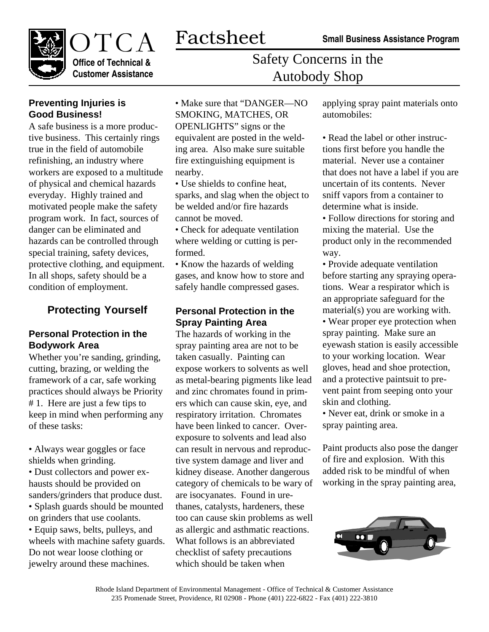

**Office of Technical & Customer Assistance**

Safety Concerns in the Autobody Shop

### **Preventing Injuries is Good Business!**

A safe business is a more productive business. This certainly rings true in the field of automobile refinishing, an industry where workers are exposed to a multitude of physical and chemical hazards everyday. Highly trained and motivated people make the safety program work. In fact, sources of danger can be eliminated and hazards can be controlled through special training, safety devices, protective clothing, and equipment. In all shops, safety should be a condition of employment.

## **Protecting Yourself**

#### **Personal Protection in the Bodywork Area**

Whether you're sanding, grinding, cutting, brazing, or welding the framework of a car, safe working practices should always be Priority # 1. Here are just a few tips to keep in mind when performing any of these tasks:

• Always wear goggles or face shields when grinding.

• Dust collectors and power exhausts should be provided on sanders/grinders that produce dust. • Splash guards should be mounted on grinders that use coolants. • Equip saws, belts, pulleys, and wheels with machine safety guards. Do not wear loose clothing or jewelry around these machines.

• Make sure that "DANGER—NO SMOKING, MATCHES, OR OPENLIGHTS" signs or the equivalent are posted in the welding area. Also make sure suitable fire extinguishing equipment is nearby.

- Use shields to confine heat, sparks, and slag when the object to be welded and/or fire hazards cannot be moved.
- Check for adequate ventilation where welding or cutting is performed.

• Know the hazards of welding gases, and know how to store and safely handle compressed gases.

#### **Personal Protection in the Spray Painting Area**

The hazards of working in the spray painting area are not to be taken casually. Painting can expose workers to solvents as well as metal-bearing pigments like lead and zinc chromates found in primers which can cause skin, eye, and respiratory irritation. Chromates have been linked to cancer. Overexposure to solvents and lead also can result in nervous and reproductive system damage and liver and kidney disease. Another dangerous category of chemicals to be wary of are isocyanates. Found in urethanes, catalysts, hardeners, these too can cause skin problems as well as allergic and asthmatic reactions. What follows is an abbreviated checklist of safety precautions which should be taken when

applying spray paint materials onto automobiles:

• Read the label or other instructions first before you handle the material. Never use a container that does not have a label if you are uncertain of its contents. Never sniff vapors from a container to determine what is inside.

• Follow directions for storing and mixing the material. Use the product only in the recommended way.

• Provide adequate ventilation before starting any spraying operations. Wear a respirator which is an appropriate safeguard for the material(s) you are working with.

• Wear proper eye protection when spray painting. Make sure an eyewash station is easily accessible to your working location. Wear gloves, head and shoe protection, and a protective paintsuit to prevent paint from seeping onto your skin and clothing.

• Never eat, drink or smoke in a spray painting area.

Paint products also pose the danger of fire and explosion. With this added risk to be mindful of when working in the spray painting area,